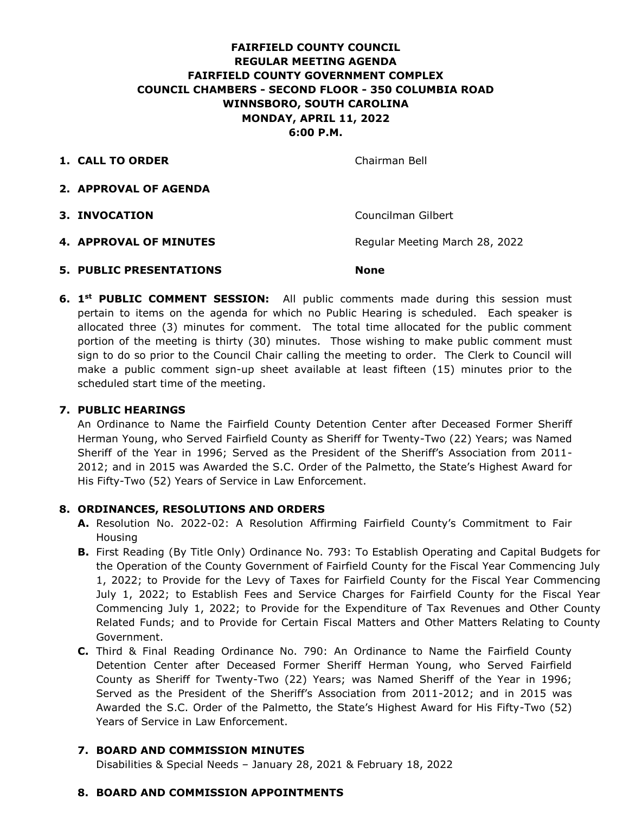# **FAIRFIELD COUNTY COUNCIL REGULAR MEETING AGENDA FAIRFIELD COUNTY GOVERNMENT COMPLEX COUNCIL CHAMBERS - SECOND FLOOR - 350 COLUMBIA ROAD WINNSBORO, SOUTH CAROLINA MONDAY, APRIL 11, 2022 6:00 P.M.**

**1. CALL TO ORDER** Chairman Bell

- **2. APPROVAL OF AGENDA**
- 

**3. INVOCATION** Councilman Gilbert

- **4. APPROVAL OF MINUTES** Regular Meeting March 28, 2022
- **5. PUBLIC PRESENTATIONS None**
- **6. 1<sup>st</sup> PUBLIC COMMENT SESSION:** All public comments made during this session must pertain to items on the agenda for which no Public Hearing is scheduled. Each speaker is allocated three (3) minutes for comment. The total time allocated for the public comment portion of the meeting is thirty (30) minutes. Those wishing to make public comment must sign to do so prior to the Council Chair calling the meeting to order. The Clerk to Council will make a public comment sign-up sheet available at least fifteen (15) minutes prior to the scheduled start time of the meeting.

### **7. PUBLIC HEARINGS**

An Ordinance to Name the Fairfield County Detention Center after Deceased Former Sheriff Herman Young, who Served Fairfield County as Sheriff for Twenty-Two (22) Years; was Named Sheriff of the Year in 1996; Served as the President of the Sheriff's Association from 2011- 2012; and in 2015 was Awarded the S.C. Order of the Palmetto, the State's Highest Award for His Fifty-Two (52) Years of Service in Law Enforcement.

#### **8. ORDINANCES, RESOLUTIONS AND ORDERS**

- **A.** Resolution No. 2022-02: A Resolution Affirming Fairfield County's Commitment to Fair Housing
- **B.** First Reading (By Title Only) Ordinance No. 793: To Establish Operating and Capital Budgets for the Operation of the County Government of Fairfield County for the Fiscal Year Commencing July 1, 2022; to Provide for the Levy of Taxes for Fairfield County for the Fiscal Year Commencing July 1, 2022; to Establish Fees and Service Charges for Fairfield County for the Fiscal Year Commencing July 1, 2022; to Provide for the Expenditure of Tax Revenues and Other County Related Funds; and to Provide for Certain Fiscal Matters and Other Matters Relating to County Government.
- **C.** Third & Final Reading Ordinance No. 790: An Ordinance to Name the Fairfield County Detention Center after Deceased Former Sheriff Herman Young, who Served Fairfield County as Sheriff for Twenty-Two (22) Years; was Named Sheriff of the Year in 1996; Served as the President of the Sheriff's Association from 2011-2012; and in 2015 was Awarded the S.C. Order of the Palmetto, the State's Highest Award for His Fifty-Two (52) Years of Service in Law Enforcement.

## **7. BOARD AND COMMISSION MINUTES**

Disabilities & Special Needs – January 28, 2021 & February 18, 2022

## **8. BOARD AND COMMISSION APPOINTMENTS**